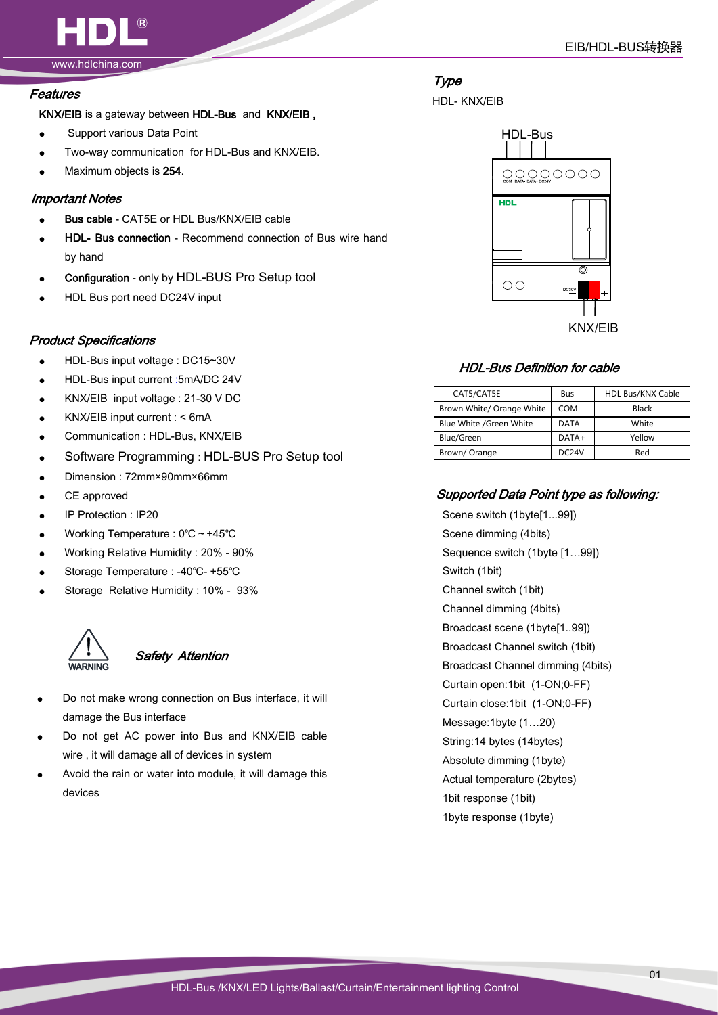www.hdlchina.com

# Features

KNX/EIB is a gateway between HDL-Bus and KNX/EIB ,

- Support various Data Point
- Two-way communication for HDL-Bus and KNX/EIB.
- Maximum objects is 254.

#### Important Notes

- **Bus cable CAT5E or HDL Bus/KNX/EIB cable**
- HDL- Bus connection Recommend connection of Bus wire hand by hand
- Configuration only by HDL-BUS Pro Setup tool
- HDL Bus port need DC24V input

#### Product Specifications

- HDL-Bus input voltage : DC15~30V
- HDL-Bus input current :5mA/DC 24V
- KNX/EIB input voltage : 21-30 V DC
- $KNX/EB$  input current : < 6mA
- Communication : HDL-Bus, KNX/EIB
- Software Programming : HDL-BUS Pro Setup tool
- Dimension : 72mm×90mm×66mm
- CE approved
- IP Protection : IP20
- Working Temperature : 0℃~+45℃
- Working Relative Humidity : 20% 90%
- Storage Temperature : -40℃- +55℃
- Storage Relative Humidity : 10% 93%



#### Safety Attention

- Do not make wrong connection on Bus interface, it will damage the Bus interface
- Do not get AC power into Bus and KNX/EIB cable wire , it will damage all of devices in system
- Avoid the rain or water into module, it will damage this devices

# Type

HDL- KNX/EIB



### HDL-Bus Definition for cable

| CAT5/CAT5E                | Bus                | <b>HDL Bus/KNX Cable</b> |
|---------------------------|--------------------|--------------------------|
| Brown White/ Orange White | COM                | <b>Black</b>             |
| Blue White /Green White   | DATA-              | White                    |
| Blue/Green                | DATA+              | Yellow                   |
| Brown/Orange              | DC <sub>24</sub> V | Red                      |

## Supported Data Point type as following:

Scene switch (1byte[1...99]) Scene dimming (4bits) Sequence switch (1byte [1…99]) Switch (1bit) Channel switch (1bit) Channel dimming (4bits) Broadcast scene (1byte[1..99]) Broadcast Channel switch (1bit) Broadcast Channel dimming (4bits) Curtain open:1bit (1-ON;0-FF) Curtain close:1bit (1-ON;0-FF) Message:1byte (1…20) String:14 bytes (14bytes) Absolute dimming (1byte) Actual temperature (2bytes) 1bit response (1bit) 1byte response (1byte)